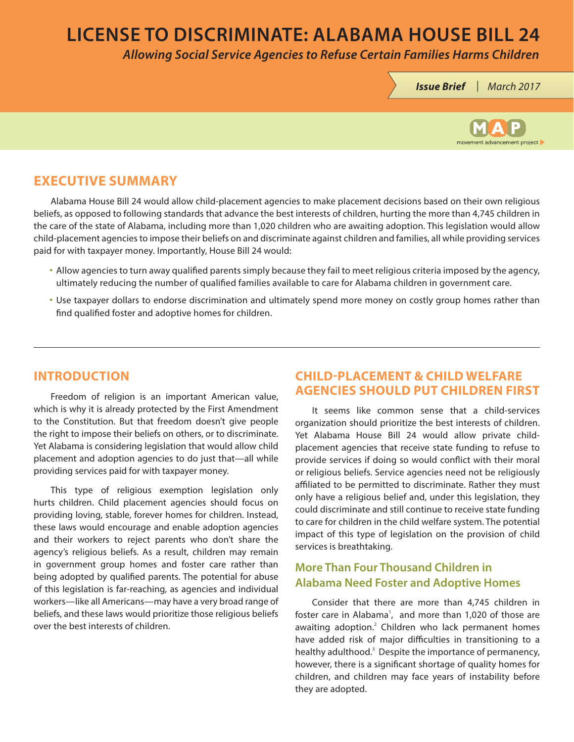# **LICENSE TO DISCRIMINATE: ALABAMA HOUSE BILL 24**

*Allowing Social Service Agencies to Refuse Certain Families Harms Children*

*Issue Brief | March 2017*



## **EXECUTIVE SUMMARY**

Alabama House Bill 24 would allow child-placement agencies to make placement decisions based on their own religious beliefs, as opposed to following standards that advance the best interests of children, hurting the more than 4,745 children in the care of the state of Alabama, including more than 1,020 children who are awaiting adoption. This legislation would allow child-placement agencies to impose their beliefs on and discriminate against children and families, all while providing services paid for with taxpayer money. Importantly, House Bill 24 would:

- Allow agencies to turn away qualified parents simply because they fail to meet religious criteria imposed by the agency, ultimately reducing the number of qualified families available to care for Alabama children in government care.
- Use taxpayer dollars to endorse discrimination and ultimately spend more money on costly group homes rather than find qualified foster and adoptive homes for children.

### **INTRODUCTION**

Freedom of religion is an important American value, which is why it is already protected by the First Amendment to the Constitution. But that freedom doesn't give people the right to impose their beliefs on others, or to discriminate. Yet Alabama is considering legislation that would allow child placement and adoption agencies to do just that—all while providing services paid for with taxpayer money.

This type of religious exemption legislation only hurts children. Child placement agencies should focus on providing loving, stable, forever homes for children. Instead, these laws would encourage and enable adoption agencies and their workers to reject parents who don't share the agency's religious beliefs. As a result, children may remain in government group homes and foster care rather than being adopted by qualified parents. The potential for abuse of this legislation is far-reaching, as agencies and individual workers—like all Americans—may have a very broad range of beliefs, and these laws would prioritize those religious beliefs over the best interests of children.

### **CHILD-PLACEMENT & CHILD WELFARE AGENCIES SHOULD PUT CHILDREN FIRST**

It seems like common sense that a child-services organization should prioritize the best interests of children. Yet Alabama House Bill 24 would allow private childplacement agencies that receive state funding to refuse to provide services if doing so would conflict with their moral or religious beliefs. Service agencies need not be religiously affiliated to be permitted to discriminate. Rather they must only have a religious belief and, under this legislation, they could discriminate and still continue to receive state funding to care for children in the child welfare system. The potential impact of this type of legislation on the provision of child services is breathtaking.

### **More Than Four Thousand Children in Alabama Need Foster and Adoptive Homes**

Consider that there are more than 4,745 children in foster care in Alabama<sup>1</sup>, and more than 1,020 of those are awaiting adoption.<sup>2</sup> Children who lack permanent homes have added risk of major difficulties in transitioning to a healthy adulthood.<sup>3</sup> Despite the importance of permanency, however, there is a significant shortage of quality homes for children, and children may face years of instability before they are adopted.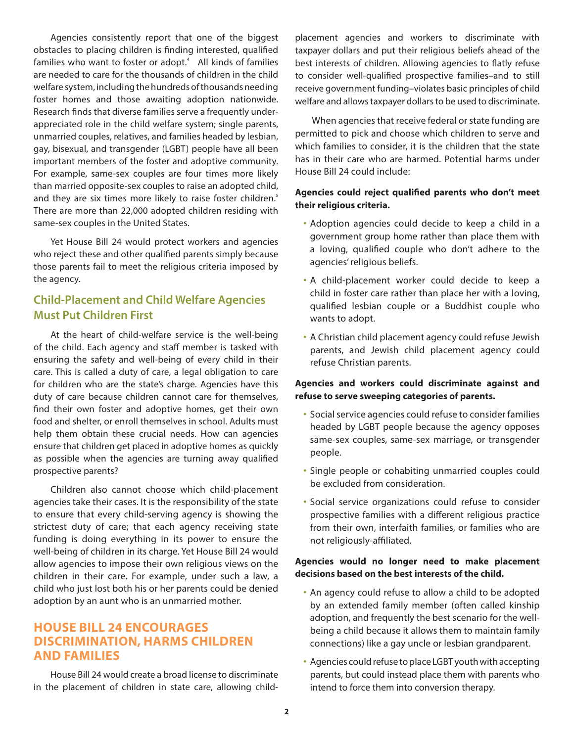Agencies consistently report that one of the biggest obstacles to placing children is finding interested, qualified families who want to foster or adopt. $4$  All kinds of families are needed to care for the thousands of children in the child welfare system, including the hundreds of thousands needing foster homes and those awaiting adoption nationwide. Research finds that diverse families serve a frequently underappreciated role in the child welfare system; single parents, unmarried couples, relatives, and families headed by lesbian, gay, bisexual, and transgender (LGBT) people have all been important members of the foster and adoptive community. For example, same-sex couples are four times more likely than married opposite-sex couples to raise an adopted child, and they are six times more likely to raise foster children.<sup>5</sup> There are more than 22,000 adopted children residing with same-sex couples in the United States.

Yet House Bill 24 would protect workers and agencies who reject these and other qualified parents simply because those parents fail to meet the religious criteria imposed by the agency.

### **Child-Placement and Child Welfare Agencies Must Put Children First**

At the heart of child-welfare service is the well-being of the child. Each agency and staff member is tasked with ensuring the safety and well-being of every child in their care. This is called a duty of care, a legal obligation to care for children who are the state's charge. Agencies have this duty of care because children cannot care for themselves, find their own foster and adoptive homes, get their own food and shelter, or enroll themselves in school. Adults must help them obtain these crucial needs. How can agencies ensure that children get placed in adoptive homes as quickly as possible when the agencies are turning away qualified prospective parents?

Children also cannot choose which child-placement agencies take their cases. It is the responsibility of the state to ensure that every child-serving agency is showing the strictest duty of care; that each agency receiving state funding is doing everything in its power to ensure the well-being of children in its charge. Yet House Bill 24 would allow agencies to impose their own religious views on the children in their care. For example, under such a law, a child who just lost both his or her parents could be denied adoption by an aunt who is an unmarried mother.

### **HOUSE BILL 24 ENCOURAGES DISCRIMINATION, HARMS CHILDREN AND FAMILIES**

House Bill 24 would create a broad license to discriminate in the placement of children in state care, allowing childplacement agencies and workers to discriminate with taxpayer dollars and put their religious beliefs ahead of the best interests of children. Allowing agencies to flatly refuse to consider well-qualified prospective families–and to still receive government funding–violates basic principles of child welfare and allows taxpayer dollars to be used to discriminate.

When agencies that receive federal or state funding are permitted to pick and choose which children to serve and which families to consider, it is the children that the state has in their care who are harmed. Potential harms under House Bill 24 could include:

#### **Agencies could reject qualified parents who don't meet their religious criteria.**

- Adoption agencies could decide to keep a child in a government group home rather than place them with a loving, qualified couple who don't adhere to the agencies' religious beliefs.
- A child-placement worker could decide to keep a child in foster care rather than place her with a loving, qualified lesbian couple or a Buddhist couple who wants to adopt.
- A Christian child placement agency could refuse Jewish parents, and Jewish child placement agency could refuse Christian parents.

#### **Agencies and workers could discriminate against and refuse to serve sweeping categories of parents.**

- Social service agencies could refuse to consider families headed by LGBT people because the agency opposes same-sex couples, same-sex marriage, or transgender people.
- Single people or cohabiting unmarried couples could be excluded from consideration.
- Social service organizations could refuse to consider prospective families with a different religious practice from their own, interfaith families, or families who are not religiously-affiliated.

#### **Agencies would no longer need to make placement decisions based on the best interests of the child.**

- An agency could refuse to allow a child to be adopted by an extended family member (often called kinship adoption, and frequently the best scenario for the wellbeing a child because it allows them to maintain family connections) like a gay uncle or lesbian grandparent.
- Agencies could refuse to place LGBT youth with accepting parents, but could instead place them with parents who intend to force them into conversion therapy.